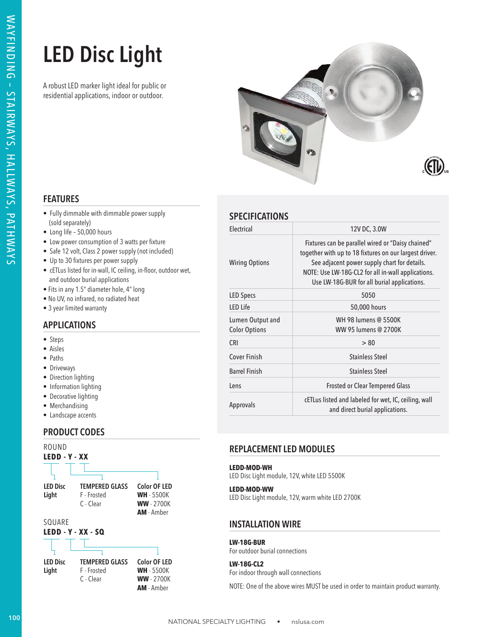# **LED Disc Light**



# **FEATURES**

- Fully dimmable with dimmable power supply (sold separately)
- Long life 50,000 hours
- Low power consumption of 3 watts per fixture
- Safe 12 volt, Class 2 power supply (not included)
- Up to 30 fixtures per power supply
- cETLus listed for in-wall, IC ceiling, in-floor, outdoor wet, and outdoor burial applications
- Fits in any 1.5" diameter hole, 4" long
- No UV, no infrared, no radiated heat
- 3 year limited warranty

## **APPLICATIONS**

- Steps
- Aisles
- Paths
- Driveways
- Direction lighting
- Information lighting
- Decorative lighting
- Merchandising
- Landscape accents

## **PRODUCT CODES**



| <b>SPECIFICATIONS</b> |  |
|-----------------------|--|
|                       |  |

| <b>LED Disc Light</b><br>A robust LED marker light ideal for public or<br>residential applications, indoor or outdoor.                                                                                                                              |                                                                 | $\left(\left(\mathbf{I}\right)\right)$                                                                                                                                                                                                                           |  |  |  |
|-----------------------------------------------------------------------------------------------------------------------------------------------------------------------------------------------------------------------------------------------------|-----------------------------------------------------------------|------------------------------------------------------------------------------------------------------------------------------------------------------------------------------------------------------------------------------------------------------------------|--|--|--|
| <b>FEATURES</b>                                                                                                                                                                                                                                     |                                                                 |                                                                                                                                                                                                                                                                  |  |  |  |
| • Fully dimmable with dimmable power supply<br>(sold separately)                                                                                                                                                                                    | <b>SPECIFICATIONS</b>                                           |                                                                                                                                                                                                                                                                  |  |  |  |
| • Long life - 50,000 hours                                                                                                                                                                                                                          | Electrical                                                      | 12V DC, 3.0W                                                                                                                                                                                                                                                     |  |  |  |
| • Low power consumption of 3 watts per fixture<br>• Safe 12 volt, Class 2 power supply (not included)<br>• Up to 30 fixtures per power supply<br>• cETLus listed for in-wall, IC ceiling, in-floor, outdoor wet,<br>and outdoor burial applications | <b>Wiring Options</b>                                           | Fixtures can be parallel wired or "Daisy chained"<br>together with up to 18 fixtures on our largest driver.<br>See adjacent power supply chart for details.<br>NOTE: Use LW-18G-CL2 for all in-wall applications.<br>Use LW-18G-BUR for all burial applications. |  |  |  |
| • Fits in any 1.5" diameter hole, 4" long<br>. No UV, no infrared, no radiated heat                                                                                                                                                                 | LED Specs                                                       | 5050                                                                                                                                                                                                                                                             |  |  |  |
| • 3 year limited warranty                                                                                                                                                                                                                           | LED Life                                                        | 50,000 hours                                                                                                                                                                                                                                                     |  |  |  |
| <b>APPLICATIONS</b>                                                                                                                                                                                                                                 | Lumen Output and<br><b>Color Options</b>                        | WH 98 lumens @ 5500K<br>WW 95 lumens @ 2700K                                                                                                                                                                                                                     |  |  |  |
| • Steps<br>• Aisles                                                                                                                                                                                                                                 | CRI                                                             | > 80                                                                                                                                                                                                                                                             |  |  |  |
| • Paths                                                                                                                                                                                                                                             | Cover Finish                                                    | <b>Stainless Steel</b>                                                                                                                                                                                                                                           |  |  |  |
| · Driveways                                                                                                                                                                                                                                         | <b>Barrel Finish</b>                                            | <b>Stainless Steel</b>                                                                                                                                                                                                                                           |  |  |  |
| • Direction lighting<br>• Information lighting                                                                                                                                                                                                      | Lens                                                            | Frosted or Clear Tempered Glass                                                                                                                                                                                                                                  |  |  |  |
| • Decorative lighting<br>• Merchandising<br>• Landscape accents                                                                                                                                                                                     | Approvals                                                       | cETLus listed and labeled for wet, IC, ceiling, wall<br>and direct burial applications.                                                                                                                                                                          |  |  |  |
| <b>PRODUCT CODES</b>                                                                                                                                                                                                                                |                                                                 |                                                                                                                                                                                                                                                                  |  |  |  |
| ROUND                                                                                                                                                                                                                                               | <b>REPLACEMENT LED MODULES</b>                                  |                                                                                                                                                                                                                                                                  |  |  |  |
| LEDD - Y - XX                                                                                                                                                                                                                                       | LEDD-MOD-WH<br>LED Disc Light module, 12V, white LED 5500K      |                                                                                                                                                                                                                                                                  |  |  |  |
| <b>LED Disc</b><br><b>TEMPERED GLASS</b><br><b>Color OF LED</b><br><b>WH</b> - 5500K<br>Light<br>F - Frosted<br><b>WW</b> - 2700K<br>C - Clear<br>AM - Amber                                                                                        | LEDD-MOD-WW<br>LED Disc Light module, 12V, warm white LED 2700K |                                                                                                                                                                                                                                                                  |  |  |  |
| SQUARE<br><b>INSTALLATION WIRE</b><br>LEDD - Y - XX - SQ                                                                                                                                                                                            |                                                                 |                                                                                                                                                                                                                                                                  |  |  |  |
|                                                                                                                                                                                                                                                     | <b>LW-18G-BUR</b><br>For outdoor burial connections             |                                                                                                                                                                                                                                                                  |  |  |  |
| <b>LED Disc</b><br><b>TEMPERED GLASS</b><br><b>Color OF LED</b><br><b>WH</b> - 5500K<br>Light<br>F - Frosted                                                                                                                                        | <b>LW-18G-CL2</b><br>For indoor through wall connections        |                                                                                                                                                                                                                                                                  |  |  |  |
| <b>WW</b> - 2700K<br>C - Clear                                                                                                                                                                                                                      |                                                                 |                                                                                                                                                                                                                                                                  |  |  |  |

## **REPLACEMENT LED MODULES**

## **INSTALLATION WIRE**

#### **LW-18G-BUR**